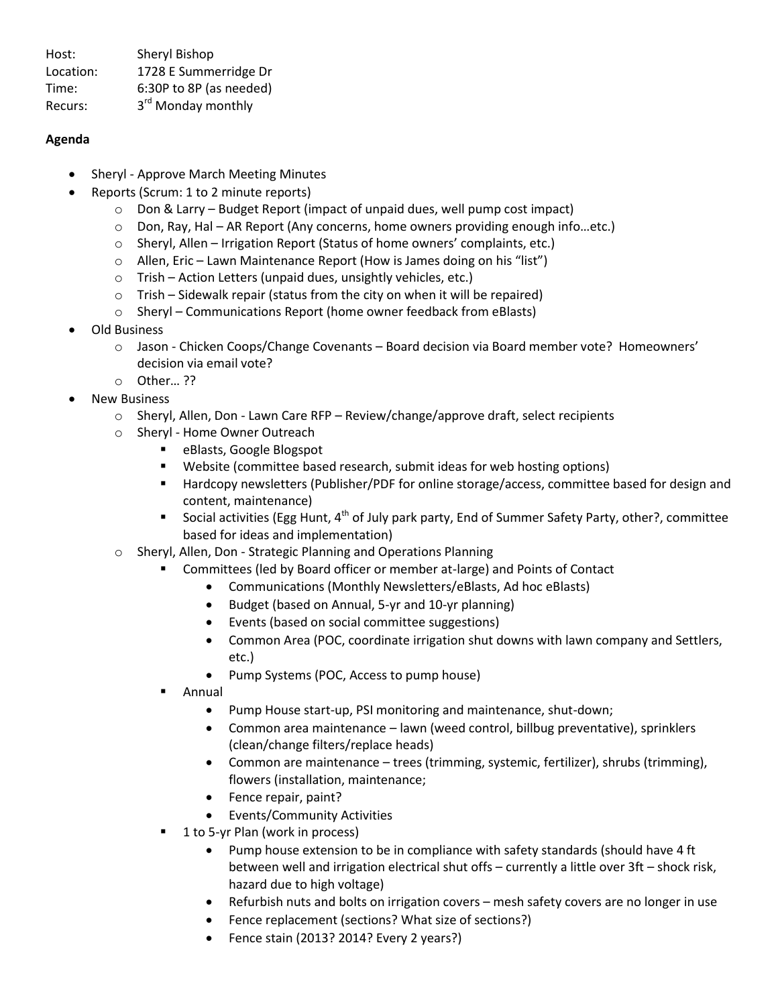Host: Sheryl Bishop Location: 1728 E Summerridge Dr Time: 6:30P to 8P (as needed) Recurs: 3<sup>rd</sup> Monday monthly

## **Agenda**

- Sheryl Approve March Meeting Minutes
- Reports (Scrum: 1 to 2 minute reports)
	- o Don & Larry Budget Report (impact of unpaid dues, well pump cost impact)
	- $\circ$  Don, Ray, Hal AR Report (Any concerns, home owners providing enough info...etc.)
	- o Sheryl, Allen Irrigation Report (Status of home owners' complaints, etc.)
	- o Allen, Eric Lawn Maintenance Report (How is James doing on his "list")
	- o Trish Action Letters (unpaid dues, unsightly vehicles, etc.)
	- $\circ$  Trish Sidewalk repair (status from the city on when it will be repaired)
	- o Sheryl Communications Report (home owner feedback from eBlasts)
- Old Business
	- o Jason Chicken Coops/Change Covenants Board decision via Board member vote? Homeowners' decision via email vote?
	- o Other… ??
- New Business
	- $\circ$  Sheryl, Allen, Don Lawn Care RFP Review/change/approve draft, select recipients
	- o Sheryl Home Owner Outreach
		- eBlasts, Google Blogspot
			- Website (committee based research, submit ideas for web hosting options)
			- **Hardcopy newsletters (Publisher/PDF for online storage/access, committee based for design and** content, maintenance)
		- Social activities (Egg Hunt,  $4^{th}$  of July park party, End of Summer Safety Party, other?, committee based for ideas and implementation)
	- o Sheryl, Allen, Don Strategic Planning and Operations Planning
		- Committees (led by Board officer or member at-large) and Points of Contact
			- Communications (Monthly Newsletters/eBlasts, Ad hoc eBlasts)
			- Budget (based on Annual, 5-yr and 10-yr planning)
			- Events (based on social committee suggestions)
			- Common Area (POC, coordinate irrigation shut downs with lawn company and Settlers, etc.)
			- Pump Systems (POC, Access to pump house)
		- Annual
			- Pump House start-up, PSI monitoring and maintenance, shut-down;
			- Common area maintenance lawn (weed control, billbug preventative), sprinklers (clean/change filters/replace heads)
			- Common are maintenance trees (trimming, systemic, fertilizer), shrubs (trimming), flowers (installation, maintenance;
			- Fence repair, paint?
			- Events/Community Activities
		- 1 to 5-yr Plan (work in process)
			- Pump house extension to be in compliance with safety standards (should have 4 ft between well and irrigation electrical shut offs – currently a little over 3ft – shock risk, hazard due to high voltage)
			- Refurbish nuts and bolts on irrigation covers mesh safety covers are no longer in use
			- Fence replacement (sections? What size of sections?)
			- Fence stain (2013? 2014? Every 2 years?)